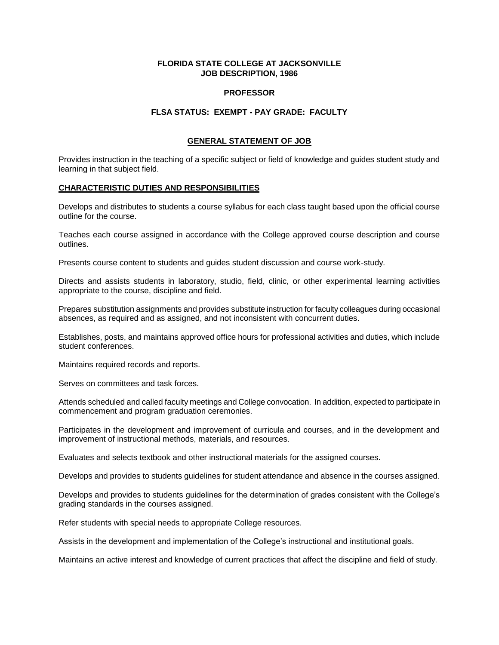# **FLORIDA STATE COLLEGE AT JACKSONVILLE JOB DESCRIPTION, 1986**

#### **PROFESSOR**

## **FLSA STATUS: EXEMPT - PAY GRADE: FACULTY**

## **GENERAL STATEMENT OF JOB**

Provides instruction in the teaching of a specific subject or field of knowledge and guides student study and learning in that subject field.

## **CHARACTERISTIC DUTIES AND RESPONSIBILITIES**

Develops and distributes to students a course syllabus for each class taught based upon the official course outline for the course.

Teaches each course assigned in accordance with the College approved course description and course outlines.

Presents course content to students and guides student discussion and course work-study.

Directs and assists students in laboratory, studio, field, clinic, or other experimental learning activities appropriate to the course, discipline and field.

Prepares substitution assignments and provides substitute instruction for faculty colleagues during occasional absences, as required and as assigned, and not inconsistent with concurrent duties.

Establishes, posts, and maintains approved office hours for professional activities and duties, which include student conferences.

Maintains required records and reports.

Serves on committees and task forces.

Attends scheduled and called faculty meetings and College convocation. In addition, expected to participate in commencement and program graduation ceremonies.

Participates in the development and improvement of curricula and courses, and in the development and improvement of instructional methods, materials, and resources.

Evaluates and selects textbook and other instructional materials for the assigned courses.

Develops and provides to students guidelines for student attendance and absence in the courses assigned.

Develops and provides to students guidelines for the determination of grades consistent with the College's grading standards in the courses assigned.

Refer students with special needs to appropriate College resources.

Assists in the development and implementation of the College's instructional and institutional goals.

Maintains an active interest and knowledge of current practices that affect the discipline and field of study.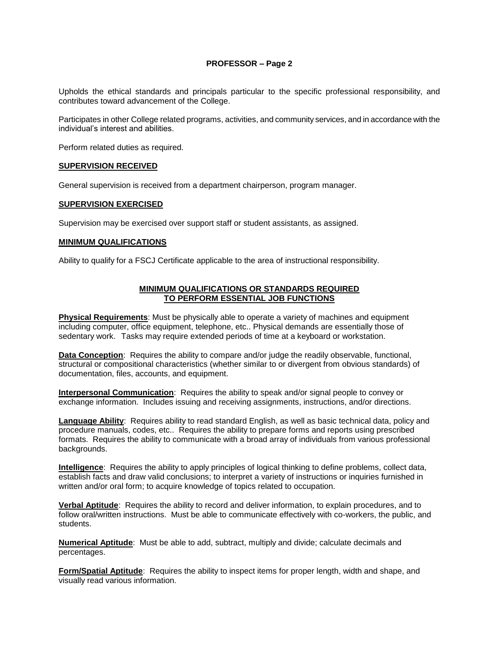# **PROFESSOR – Page 2**

Upholds the ethical standards and principals particular to the specific professional responsibility, and contributes toward advancement of the College.

Participates in other College related programs, activities, and community services, and in accordance with the individual's interest and abilities.

Perform related duties as required.

#### **SUPERVISION RECEIVED**

General supervision is received from a department chairperson, program manager.

#### **SUPERVISION EXERCISED**

Supervision may be exercised over support staff or student assistants, as assigned.

#### **MINIMUM QUALIFICATIONS**

Ability to qualify for a FSCJ Certificate applicable to the area of instructional responsibility.

# **MINIMUM QUALIFICATIONS OR STANDARDS REQUIRED TO PERFORM ESSENTIAL JOB FUNCTIONS**

**Physical Requirements**: Must be physically able to operate a variety of machines and equipment including computer, office equipment, telephone, etc.. Physical demands are essentially those of sedentary work. Tasks may require extended periods of time at a keyboard or workstation.

**Data Conception**: Requires the ability to compare and/or judge the readily observable, functional, structural or compositional characteristics (whether similar to or divergent from obvious standards) of documentation, files, accounts, and equipment.

**Interpersonal Communication**: Requires the ability to speak and/or signal people to convey or exchange information. Includes issuing and receiving assignments, instructions, and/or directions.

**Language Ability**: Requires ability to read standard English, as well as basic technical data, policy and procedure manuals, codes, etc.. Requires the ability to prepare forms and reports using prescribed formats. Requires the ability to communicate with a broad array of individuals from various professional backgrounds.

**Intelligence**: Requires the ability to apply principles of logical thinking to define problems, collect data, establish facts and draw valid conclusions; to interpret a variety of instructions or inquiries furnished in written and/or oral form; to acquire knowledge of topics related to occupation.

**Verbal Aptitude**: Requires the ability to record and deliver information, to explain procedures, and to follow oral/written instructions. Must be able to communicate effectively with co-workers, the public, and students.

**Numerical Aptitude**: Must be able to add, subtract, multiply and divide; calculate decimals and percentages.

**Form/Spatial Aptitude**: Requires the ability to inspect items for proper length, width and shape, and visually read various information.